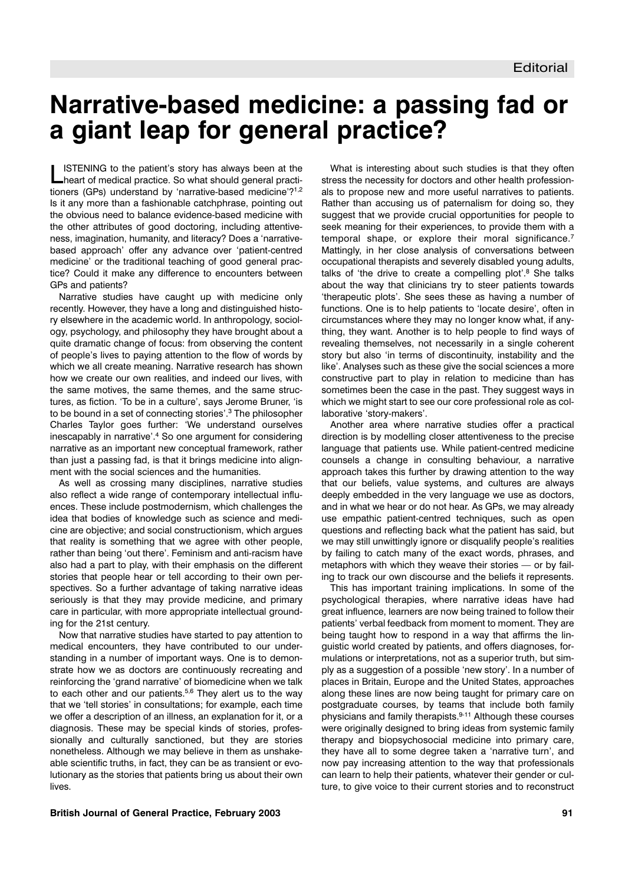## **Narrative-based medicine: a passing fad or a giant leap for general practice?**

**LISTENING to the patient's story has always been at the Lineart of medical practice. So what should general practi**tioners (GPs) understand by 'narrative-based medicine'?<sup>1,2</sup> Is it any more than a fashionable catchphrase, pointing out the obvious need to balance evidence-based medicine with the other attributes of good doctoring, including attentiveness, imagination, humanity, and literacy? Does a 'narrativebased approach' offer any advance over 'patient-centred medicine' or the traditional teaching of good general practice? Could it make any difference to encounters between GPs and patients?

Narrative studies have caught up with medicine only recently. However, they have a long and distinguished history elsewhere in the academic world. In anthropology, sociology, psychology, and philosophy they have brought about a quite dramatic change of focus: from observing the content of people's lives to paying attention to the flow of words by which we all create meaning. Narrative research has shown how we create our own realities, and indeed our lives, with the same motives, the same themes, and the same structures, as fiction. 'To be in a culture', says Jerome Bruner, 'is to be bound in a set of connecting stories'.3 The philosopher Charles Taylor goes further: 'We understand ourselves inescapably in narrative'.4 So one argument for considering narrative as an important new conceptual framework, rather than just a passing fad, is that it brings medicine into alignment with the social sciences and the humanities.

As well as crossing many disciplines, narrative studies also reflect a wide range of contemporary intellectual influences. These include postmodernism, which challenges the idea that bodies of knowledge such as science and medicine are objective; and social constructionism, which argues that reality is something that we agree with other people, rather than being 'out there'. Feminism and anti-racism have also had a part to play, with their emphasis on the different stories that people hear or tell according to their own perspectives. So a further advantage of taking narrative ideas seriously is that they may provide medicine, and primary care in particular, with more appropriate intellectual grounding for the 21st century.

Now that narrative studies have started to pay attention to medical encounters, they have contributed to our understanding in a number of important ways. One is to demonstrate how we as doctors are continuously recreating and reinforcing the 'grand narrative' of biomedicine when we talk to each other and our patients.<sup>5,6</sup> They alert us to the way that we 'tell stories' in consultations; for example, each time we offer a description of an illness, an explanation for it, or a diagnosis. These may be special kinds of stories, professionally and culturally sanctioned, but they are stories nonetheless. Although we may believe in them as unshakeable scientific truths, in fact, they can be as transient or evolutionary as the stories that patients bring us about their own lives.

What is interesting about such studies is that they often stress the necessity for doctors and other health professionals to propose new and more useful narratives to patients. Rather than accusing us of paternalism for doing so, they suggest that we provide crucial opportunities for people to seek meaning for their experiences, to provide them with a temporal shape, or explore their moral significance.7 Mattingly, in her close analysis of conversations between occupational therapists and severely disabled young adults, talks of 'the drive to create a compelling plot'.<sup>8</sup> She talks about the way that clinicians try to steer patients towards 'therapeutic plots'. She sees these as having a number of functions. One is to help patients to 'locate desire', often in circumstances where they may no longer know what, if anything, they want. Another is to help people to find ways of revealing themselves, not necessarily in a single coherent story but also 'in terms of discontinuity, instability and the like'. Analyses such as these give the social sciences a more constructive part to play in relation to medicine than has sometimes been the case in the past. They suggest ways in which we might start to see our core professional role as collaborative 'story-makers'.

Another area where narrative studies offer a practical direction is by modelling closer attentiveness to the precise language that patients use. While patient-centred medicine counsels a change in consulting behaviour, a narrative approach takes this further by drawing attention to the way that our beliefs, value systems, and cultures are always deeply embedded in the very language we use as doctors, and in what we hear or do not hear. As GPs, we may already use empathic patient-centred techniques, such as open questions and reflecting back what the patient has said, but we may still unwittingly ignore or disqualify people's realities by failing to catch many of the exact words, phrases, and metaphors with which they weave their stories — or by failing to track our own discourse and the beliefs it represents.

This has important training implications. In some of the psychological therapies, where narrative ideas have had great influence, learners are now being trained to follow their patients' verbal feedback from moment to moment. They are being taught how to respond in a way that affirms the linguistic world created by patients, and offers diagnoses, formulations or interpretations, not as a superior truth, but simply as a suggestion of a possible 'new story'. In a number of places in Britain, Europe and the United States, approaches along these lines are now being taught for primary care on postgraduate courses, by teams that include both family physicians and family therapists.9-11 Although these courses were originally designed to bring ideas from systemic family therapy and biopsychosocial medicine into primary care, they have all to some degree taken a 'narrative turn', and now pay increasing attention to the way that professionals can learn to help their patients, whatever their gender or culture, to give voice to their current stories and to reconstruct

## **British Journal of General Practice, February 2003 91**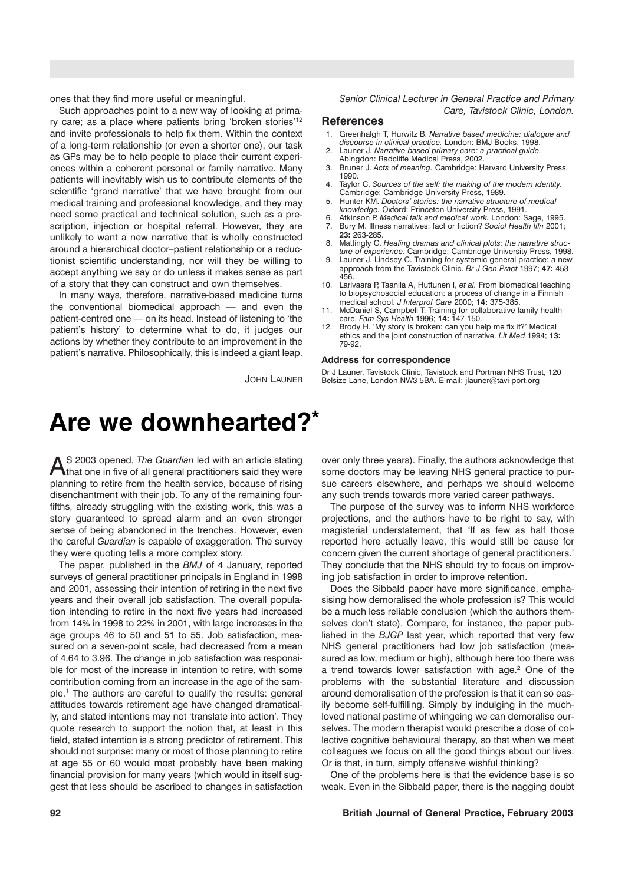ones that they find more useful or meaningful.

Such approaches point to a new way of looking at primary care; as a place where patients bring 'broken stories'12 and invite professionals to help fix them. Within the context of a long-term relationship (or even a shorter one), our task as GPs may be to help people to place their current experiences within a coherent personal or family narrative. Many patients will inevitably wish us to contribute elements of the scientific 'grand narrative' that we have brought from our medical training and professional knowledge, and they may need some practical and technical solution, such as a prescription, injection or hospital referral. However, they are unlikely to want a new narrative that is wholly constructed around a hierarchical doctor–patient relationship or a reductionist scientific understanding, nor will they be willing to accept anything we say or do unless it makes sense as part of a story that they can construct and own themselves.

In many ways, therefore, narrative-based medicine turns the conventional biomedical approach — and even the patient-centred one — on its head. Instead of listening to 'the patient's history' to determine what to do, it judges our actions by whether they contribute to an improvement in the patient's narrative. Philosophically, this is indeed a giant leap.

JOHN LAUNER

# **Are we downhearted?\***

AS 2003 opened, *The Guardian* led with an article stating<br>that one in five of all general practitioners said they were planning to retire from the health service, because of rising disenchantment with their job. To any of the remaining fourfifths, already struggling with the existing work, this was a story guaranteed to spread alarm and an even stronger sense of being abandoned in the trenches. However, even the careful *Guardian* is capable of exaggeration. The survey they were quoting tells a more complex story.

The paper, published in the *BMJ* of 4 January, reported surveys of general practitioner principals in England in 1998 and 2001, assessing their intention of retiring in the next five years and their overall job satisfaction. The overall population intending to retire in the next five years had increased from 14% in 1998 to 22% in 2001, with large increases in the age groups 46 to 50 and 51 to 55. Job satisfaction, measured on a seven-point scale, had decreased from a mean of 4.64 to 3.96. The change in job satisfaction was responsible for most of the increase in intention to retire, with some contribution coming from an increase in the age of the sample.1 The authors are careful to qualify the results: general attitudes towards retirement age have changed dramatically, and stated intentions may not 'translate into action'. They quote research to support the notion that, at least in this field, stated intention is a strong predictor of retirement. This should not surprise: many or most of those planning to retire at age 55 or 60 would most probably have been making financial provision for many years (which would in itself suggest that less should be ascribed to changes in satisfaction *Senior Clinical Lecturer in General Practice and Primary Care, Tavistock Clinic, London.*

#### **References**

- 1. Greenhalgh T, Hurwitz B. *Narrative based medicine: dialogue and discourse in clinical practice.* London: BMJ Books, 1998.
- 2. Launer J. *Narrative-based primary care: a practical guide.* Abingdon: Radcliffe Medical Press, 2002.
- 3. Bruner J. *Acts of meaning.* Cambridge: Harvard University Press, 1990.
- 4. Taylor C. *Sources of the self: the making of the modern identity.* Cambridge: Cambridge University Press, 1989.
- 5. Hunter KM. *Doctors' stories: the narrative structure of medical knowledge.* Oxford: Princeton University Press, 1991.
- 6. Atkinson P. *Medical talk and medical work.* London: Sage, 1995. 7. Bury M. Illness narratives: fact or fiction? *Sociol Health Illn* 2001; **23:** 263-285.
- 8. Mattingly C. *Healing dramas and clinical plots: the narrative structure of experience.* Cambridge: Cambridge University Press, 1998.
- 9. Launer J, Lindsey C. Training for systemic general practice: a new approach from the Tavistock Clinic. *Br J Gen Pract* 1997; **47:** 453- 456.
- 10. Larivaara P, Taanila A, Huttunen I, *et al.* From biomedical teaching to biopsychosocial education: a process of change in a Finnish medical school. *J Interprof Care* 2000; **14:** 375-385.
- McDaniel S, Campbell T. Training for collaborative family healthcare. *Fam Sys Health* 1996; **14:** 147-150.
- Brody H. 'My story is broken: can you help me fix it?' Medical ethics and the joint construction of narrative. *Lit Med* 1994; **13:** 79-92.

#### **Address for correspondence**

Dr J Launer, Tavistock Clinic, Tavistock and Portman NHS Trust, 120 Belsize Lane, London NW3 5BA. E-mail: jlauner@tavi-port.org

over only three years). Finally, the authors acknowledge that some doctors may be leaving NHS general practice to pursue careers elsewhere, and perhaps we should welcome any such trends towards more varied career pathways.

The purpose of the survey was to inform NHS workforce projections, and the authors have to be right to say, with magisterial understatement, that 'If as few as half those reported here actually leave, this would still be cause for concern given the current shortage of general practitioners.' They conclude that the NHS should try to focus on improving job satisfaction in order to improve retention.

Does the Sibbald paper have more significance, emphasising how demoralised the whole profession is? This would be a much less reliable conclusion (which the authors themselves don't state). Compare, for instance, the paper published in the *BJGP* last year, which reported that very few NHS general practitioners had low job satisfaction (measured as low, medium or high), although here too there was a trend towards lower satisfaction with age.2 One of the problems with the substantial literature and discussion around demoralisation of the profession is that it can so easily become self-fulfilling. Simply by indulging in the muchloved national pastime of whingeing we can demoralise ourselves. The modern therapist would prescribe a dose of collective cognitive behavioural therapy, so that when we meet colleagues we focus on all the good things about our lives. Or is that, in turn, simply offensive wishful thinking?

One of the problems here is that the evidence base is so weak. Even in the Sibbald paper, there is the nagging doubt

#### **92 British Journal of General Practice, February 2003**